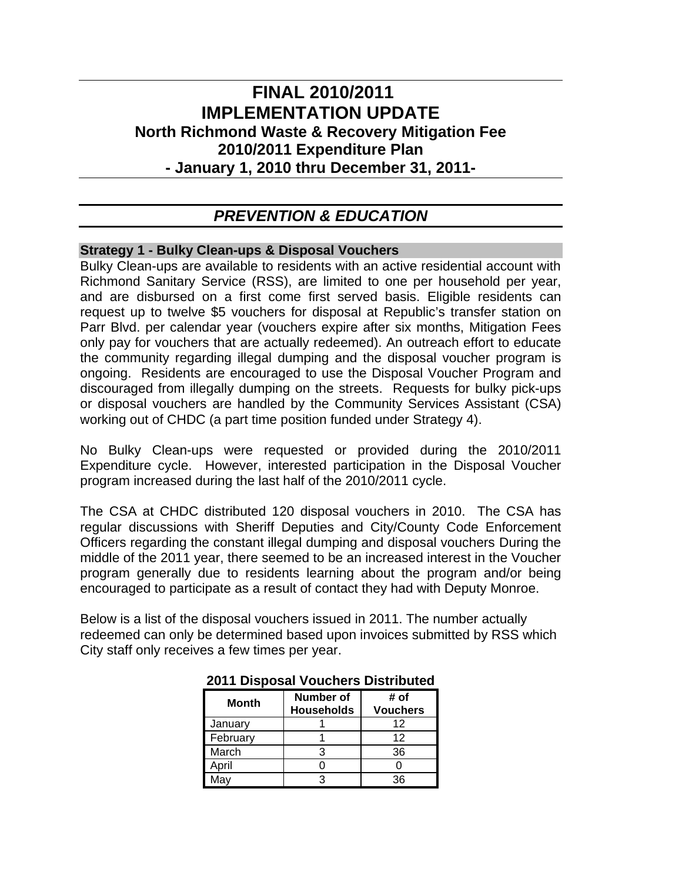# **FINAL 2010/2011 IMPLEMENTATION UPDATE North Richmond Waste & Recovery Mitigation Fee 2010/2011 Expenditure Plan - January 1, 2010 thru December 31, 2011-**

# *PREVENTION & EDUCATION*

# **Strategy 1 - Bulky Clean-ups & Disposal Vouchers**

Bulky Clean-ups are available to residents with an active residential account with Richmond Sanitary Service (RSS), are limited to one per household per year, and are disbursed on a first come first served basis. Eligible residents can request up to twelve \$5 vouchers for disposal at Republic's transfer station on Parr Blvd. per calendar year (vouchers expire after six months, Mitigation Fees only pay for vouchers that are actually redeemed). An outreach effort to educate the community regarding illegal dumping and the disposal voucher program is ongoing. Residents are encouraged to use the Disposal Voucher Program and discouraged from illegally dumping on the streets. Requests for bulky pick-ups or disposal vouchers are handled by the Community Services Assistant (CSA) working out of CHDC (a part time position funded under Strategy 4).

No Bulky Clean-ups were requested or provided during the 2010/2011 Expenditure cycle. However, interested participation in the Disposal Voucher program increased during the last half of the 2010/2011 cycle.

The CSA at CHDC distributed 120 disposal vouchers in 2010. The CSA has regular discussions with Sheriff Deputies and City/County Code Enforcement Officers regarding the constant illegal dumping and disposal vouchers During the middle of the 2011 year, there seemed to be an increased interest in the Voucher program generally due to residents learning about the program and/or being encouraged to participate as a result of contact they had with Deputy Monroe.

Below is a list of the disposal vouchers issued in 2011. The number actually redeemed can only be determined based upon invoices submitted by RSS which City staff only receives a few times per year.

| Month    | <b>Number of</b><br><b>Households</b> | # of<br><b>Vouchers</b> |
|----------|---------------------------------------|-------------------------|
| January  |                                       | 12                      |
| February |                                       | 12                      |
| March    |                                       | 36                      |
| April    |                                       |                         |
| Mav      |                                       | ጓፍ                      |

**2011 Disposal Vouchers Distributed**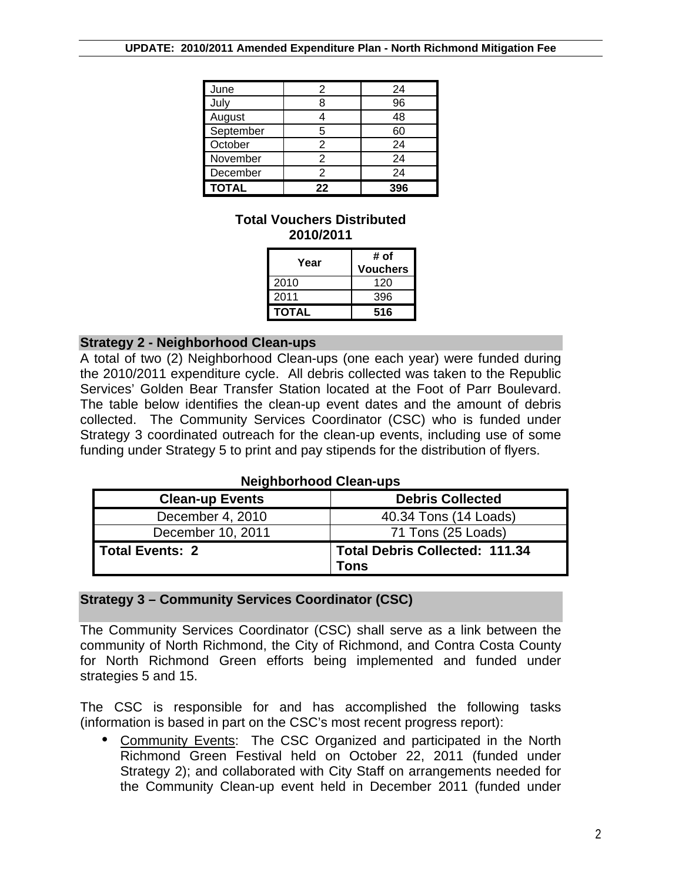| June         |    | 24  |
|--------------|----|-----|
| July         |    | 96  |
| August       |    | 48  |
| September    | 5  | 60  |
| October      | 2  | 24  |
| November     | 2  | 24  |
| December     | 2  | 24  |
| <b>TOTAL</b> | 22 | 396 |

# **Total Vouchers Distributed 2010/2011**

| Year         | # of<br><b>Vouchers</b> |
|--------------|-------------------------|
| 2010         | 120                     |
| 2011         | 396                     |
| <b>TOTAL</b> | 516                     |

# **Strategy 2 - Neighborhood Clean-ups**

A total of two (2) Neighborhood Clean-ups (one each year) were funded during the 2010/2011 expenditure cycle. All debris collected was taken to the Republic Services' Golden Bear Transfer Station located at the Foot of Parr Boulevard. The table below identifies the clean-up event dates and the amount of debris collected. The Community Services Coordinator (CSC) who is funded under Strategy 3 coordinated outreach for the clean-up events, including use of some funding under Strategy 5 to print and pay stipends for the distribution of flyers.

#### **Neighborhood Clean-ups**

| <b>Clean-up Events</b> | <b>Debris Collected</b>                       |
|------------------------|-----------------------------------------------|
| December 4, 2010       | 40.34 Tons (14 Loads)                         |
| December 10, 2011      | 71 Tons (25 Loads)                            |
| Total Events: 2        | <b>Total Debris Collected: 111.34</b><br>Tons |

# **Strategy 3 – Community Services Coordinator (CSC)**

The Community Services Coordinator (CSC) shall serve as a link between the community of North Richmond, the City of Richmond, and Contra Costa County for North Richmond Green efforts being implemented and funded under strategies 5 and 15.

The CSC is responsible for and has accomplished the following tasks (information is based in part on the CSC's most recent progress report):

• Community Events: The CSC Organized and participated in the North Richmond Green Festival held on October 22, 2011 (funded under Strategy 2); and collaborated with City Staff on arrangements needed for the Community Clean-up event held in December 2011 (funded under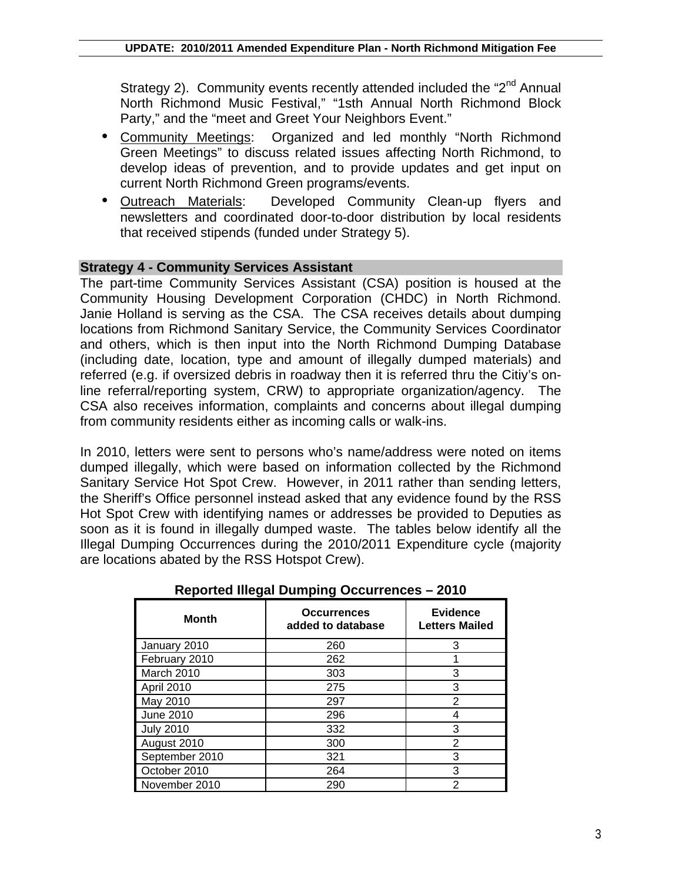Strategy 2). Community events recently attended included the "2<sup>nd</sup> Annual" North Richmond Music Festival," "1sth Annual North Richmond Block Party," and the "meet and Greet Your Neighbors Event."

- Community Meetings: Organized and led monthly "North Richmond Green Meetings" to discuss related issues affecting North Richmond, to develop ideas of prevention, and to provide updates and get input on current North Richmond Green programs/events.
- Outreach Materials: Developed Community Clean-up flyers and newsletters and coordinated door-to-door distribution by local residents that received stipends (funded under Strategy 5).

# **Strategy 4 - Community Services Assistant**

The part-time Community Services Assistant (CSA) position is housed at the Community Housing Development Corporation (CHDC) in North Richmond. Janie Holland is serving as the CSA. The CSA receives details about dumping locations from Richmond Sanitary Service, the Community Services Coordinator and others, which is then input into the North Richmond Dumping Database (including date, location, type and amount of illegally dumped materials) and referred (e.g. if oversized debris in roadway then it is referred thru the Citiy's online referral/reporting system, CRW) to appropriate organization/agency. The CSA also receives information, complaints and concerns about illegal dumping from community residents either as incoming calls or walk-ins.

In 2010, letters were sent to persons who's name/address were noted on items dumped illegally, which were based on information collected by the Richmond Sanitary Service Hot Spot Crew. However, in 2011 rather than sending letters, the Sheriff's Office personnel instead asked that any evidence found by the RSS Hot Spot Crew with identifying names or addresses be provided to Deputies as soon as it is found in illegally dumped waste. The tables below identify all the Illegal Dumping Occurrences during the 2010/2011 Expenditure cycle (majority are locations abated by the RSS Hotspot Crew).

| <b>Month</b>     | <b>Occurrences</b><br>added to database | <b>Evidence</b><br><b>Letters Mailed</b> |
|------------------|-----------------------------------------|------------------------------------------|
| January 2010     | 260                                     | 3                                        |
| February 2010    | 262                                     |                                          |
| March 2010       | 303                                     | 3                                        |
| April 2010       | 275                                     | 3                                        |
| May 2010         | 297                                     | 2                                        |
| June 2010        | 296                                     | 4                                        |
| <b>July 2010</b> | 332                                     | 3                                        |
| August 2010      | 300                                     | 2                                        |
| September 2010   | 321                                     | 3                                        |
| October 2010     | 264                                     | 3                                        |
| November 2010    | 290                                     | 2                                        |

**Reported Illegal Dumping Occurrences – 2010**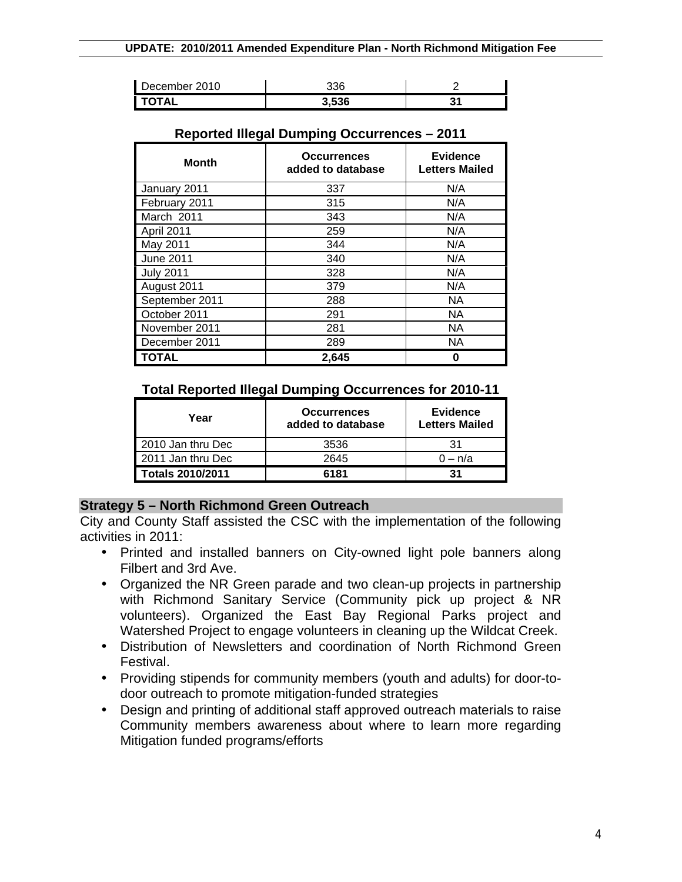| December 2010  | 336   |    |
|----------------|-------|----|
| <b>I TOTAL</b> | 3,536 | J. |

| $\tilde{\phantom{a}}$<br><b>Month</b> | <b>Occurrences</b><br>added to database | <b>Evidence</b><br><b>Letters Mailed</b> |
|---------------------------------------|-----------------------------------------|------------------------------------------|
| January 2011                          | 337                                     | N/A                                      |
| February 2011                         | 315                                     | N/A                                      |
| March 2011                            | 343                                     | N/A                                      |
| April 2011                            | 259                                     | N/A                                      |
| May 2011                              | 344                                     | N/A                                      |
| <b>June 2011</b>                      | 340                                     | N/A                                      |
| <b>July 2011</b>                      | 328                                     | N/A                                      |
| August 2011                           | 379                                     | N/A                                      |
| September 2011                        | 288                                     | <b>NA</b>                                |
| October 2011                          | 291                                     | NA.                                      |
| November 2011                         | 281                                     | <b>NA</b>                                |
| December 2011                         | 289                                     | <b>NA</b>                                |
| <b>TOTAL</b>                          | 2,645                                   | 0                                        |

#### **Reported Illegal Dumping Occurrences – 2011**

# **Total Reported Illegal Dumping Occurrences for 2010-11**

| Year              | <b>Occurrences</b><br>added to database | <b>Evidence</b><br><b>Letters Mailed</b> |
|-------------------|-----------------------------------------|------------------------------------------|
| 2010 Jan thru Dec | 3536                                    | 31                                       |
| 2011 Jan thru Dec | 2645                                    | $0 - n/a$                                |
| Totals 2010/2011  | 6181                                    | 31                                       |

#### **Strategy 5 – North Richmond Green Outreach**

City and County Staff assisted the CSC with the implementation of the following activities in 2011:

- Printed and installed banners on City-owned light pole banners along Filbert and 3rd Ave.
- Organized the NR Green parade and two clean-up projects in partnership with Richmond Sanitary Service (Community pick up project & NR volunteers). Organized the East Bay Regional Parks project and Watershed Project to engage volunteers in cleaning up the Wildcat Creek.
- Distribution of Newsletters and coordination of North Richmond Green Festival.
- Providing stipends for community members (youth and adults) for door-todoor outreach to promote mitigation-funded strategies
- Design and printing of additional staff approved outreach materials to raise Community members awareness about where to learn more regarding Mitigation funded programs/efforts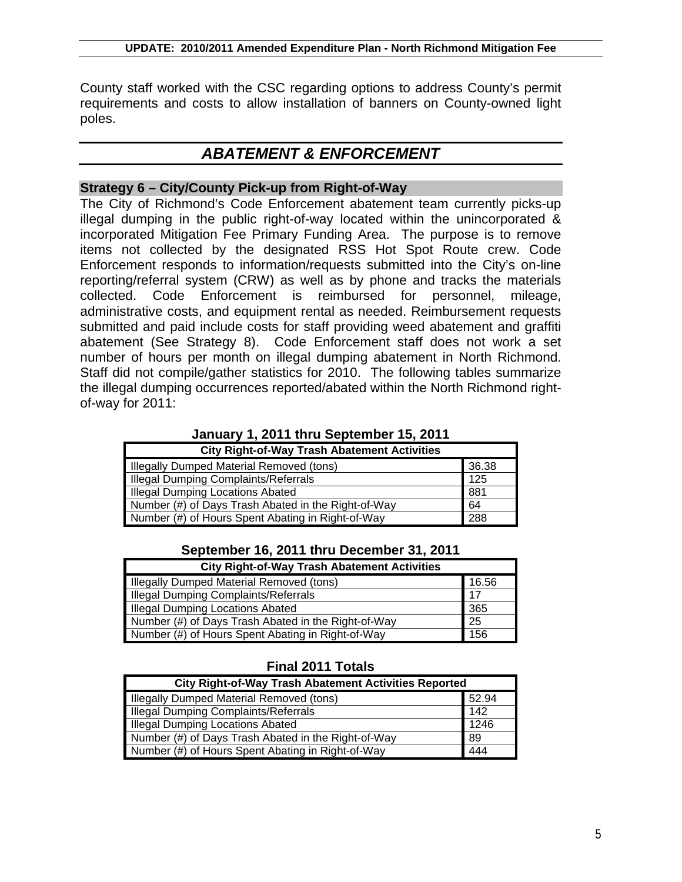County staff worked with the CSC regarding options to address County's permit requirements and costs to allow installation of banners on County-owned light poles.

# *ABATEMENT & ENFORCEMENT*

# **Strategy 6 – City/County Pick-up from Right-of-Way**

The City of Richmond's Code Enforcement abatement team currently picks-up illegal dumping in the public right-of-way located within the unincorporated & incorporated Mitigation Fee Primary Funding Area. The purpose is to remove items not collected by the designated RSS Hot Spot Route crew. Code Enforcement responds to information/requests submitted into the City's on-line reporting/referral system (CRW) as well as by phone and tracks the materials collected. Code Enforcement is reimbursed for personnel, mileage, administrative costs, and equipment rental as needed. Reimbursement requests submitted and paid include costs for staff providing weed abatement and graffiti abatement (See Strategy 8). Code Enforcement staff does not work a set number of hours per month on illegal dumping abatement in North Richmond. Staff did not compile/gather statistics for 2010. The following tables summarize the illegal dumping occurrences reported/abated within the North Richmond rightof-way for 2011:

| <b>City Right-of-Way Trash Abatement Activities</b>       |       |  |
|-----------------------------------------------------------|-------|--|
| Illegally Dumped Material Removed (tons)                  | 36.38 |  |
| Illegal Dumping Complaints/Referrals<br>125               |       |  |
| 881<br><b>Illegal Dumping Locations Abated</b>            |       |  |
| Number (#) of Days Trash Abated in the Right-of-Way<br>64 |       |  |
| Number (#) of Hours Spent Abating in Right-of-Way         | 288   |  |

**January 1, 2011 thru September 15, 2011**

#### **September 16, 2011 thru December 31, 2011**

| <b>City Right-of-Way Trash Abatement Activities</b> |       |  |
|-----------------------------------------------------|-------|--|
| Illegally Dumped Material Removed (tons)            | 16.56 |  |
| Illegal Dumping Complaints/Referrals                |       |  |
| <b>Illegal Dumping Locations Abated</b>             |       |  |
| Number (#) of Days Trash Abated in the Right-of-Way |       |  |
| Number (#) of Hours Spent Abating in Right-of-Way   |       |  |

#### **Final 2011 Totals**

| <b>City Right-of-Way Trash Abatement Activities Reported</b> |       |
|--------------------------------------------------------------|-------|
| <b>Illegally Dumped Material Removed (tons)</b>              | 52.94 |
| <b>Illegal Dumping Complaints/Referrals</b>                  | 142   |
| <b>Illegal Dumping Locations Abated</b>                      | 1246  |
| Number (#) of Days Trash Abated in the Right-of-Way          |       |
| Number (#) of Hours Spent Abating in Right-of-Way            |       |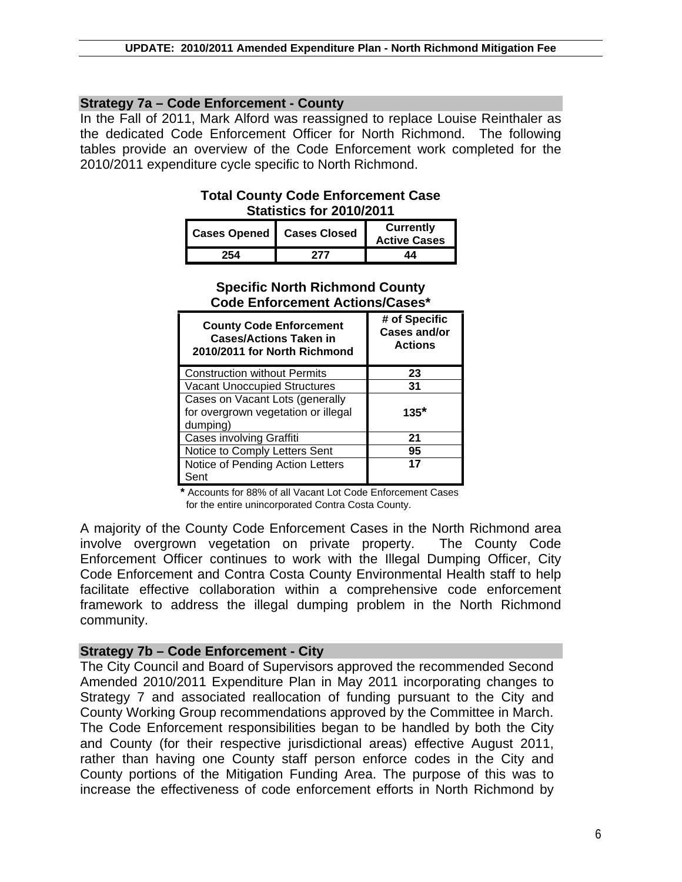## **Strategy 7a – Code Enforcement - County**

In the Fall of 2011, Mark Alford was reassigned to replace Louise Reinthaler as the dedicated Code Enforcement Officer for North Richmond. The following tables provide an overview of the Code Enforcement work completed for the 2010/2011 expenditure cycle specific to North Richmond.

# **Total County Code Enforcement Case Statistics for 2010/2011**

| Cases Opened   Cases Closed | Currently<br><b>Active Cases</b> |
|-----------------------------|----------------------------------|
| 254.                        | 44                               |

# **Specific North Richmond County Code Enforcement Actions/Cases\***

| <b>County Code Enforcement</b><br><b>Cases/Actions Taken in</b><br>2010/2011 for North Richmond | # of Specific<br><b>Cases and/or</b><br><b>Actions</b> |
|-------------------------------------------------------------------------------------------------|--------------------------------------------------------|
| <b>Construction without Permits</b>                                                             | 23                                                     |
| <b>Vacant Unoccupied Structures</b>                                                             | 31                                                     |
| Cases on Vacant Lots (generally<br>for overgrown vegetation or illegal<br>dumping)              | $135*$                                                 |
| Cases involving Graffiti                                                                        | 21                                                     |
| Notice to Comply Letters Sent                                                                   | 95                                                     |
| Notice of Pending Action Letters<br>Sent                                                        | 17                                                     |

**\*** Accounts for 88% of all Vacant Lot Code Enforcement Cases for the entire unincorporated Contra Costa County.

A majority of the County Code Enforcement Cases in the North Richmond area involve overgrown vegetation on private property. The County Code Enforcement Officer continues to work with the Illegal Dumping Officer, City Code Enforcement and Contra Costa County Environmental Health staff to help facilitate effective collaboration within a comprehensive code enforcement framework to address the illegal dumping problem in the North Richmond community.

# **Strategy 7b – Code Enforcement - City**

The City Council and Board of Supervisors approved the recommended Second Amended 2010/2011 Expenditure Plan in May 2011 incorporating changes to Strategy 7 and associated reallocation of funding pursuant to the City and County Working Group recommendations approved by the Committee in March. The Code Enforcement responsibilities began to be handled by both the City and County (for their respective jurisdictional areas) effective August 2011, rather than having one County staff person enforce codes in the City and County portions of the Mitigation Funding Area. The purpose of this was to increase the effectiveness of code enforcement efforts in North Richmond by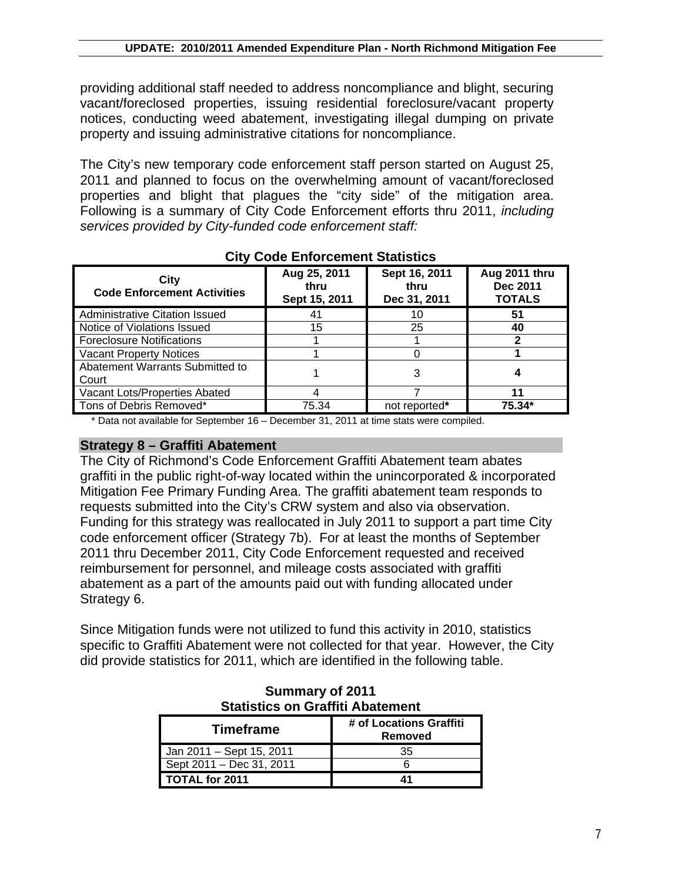providing additional staff needed to address noncompliance and blight, securing vacant/foreclosed properties, issuing residential foreclosure/vacant property notices, conducting weed abatement, investigating illegal dumping on private property and issuing administrative citations for noncompliance.

The City's new temporary code enforcement staff person started on August 25, 2011 and planned to focus on the overwhelming amount of vacant/foreclosed properties and blight that plagues the "city side" of the mitigation area. Following is a summary of City Code Enforcement efforts thru 2011, *including services provided by City-funded code enforcement staff:*

| ony oodo Enioroomoni oldhohoo              |                                       |                                       |                                            |
|--------------------------------------------|---------------------------------------|---------------------------------------|--------------------------------------------|
| City<br><b>Code Enforcement Activities</b> | Aug 25, 2011<br>thru<br>Sept 15, 2011 | Sept 16, 2011<br>thru<br>Dec 31, 2011 | Aug 2011 thru<br>Dec 2011<br><b>TOTALS</b> |
| <b>Administrative Citation Issued</b>      | 41                                    | 10                                    | 51                                         |
| Notice of Violations Issued                | 15                                    | 25                                    | 40                                         |
| <b>Foreclosure Notifications</b>           |                                       |                                       |                                            |
| <b>Vacant Property Notices</b>             |                                       |                                       |                                            |
| Abatement Warrants Submitted to<br>Court   |                                       |                                       |                                            |
| Vacant Lots/Properties Abated              | 4                                     |                                       |                                            |
| Tons of Debris Removed*                    | 75.34                                 | not reported*                         | 75.34*                                     |

**City Code Enforcement Statistics**

\* Data not available for September 16 – December 31, 2011 at time stats were compiled.

#### **Strategy 8 – Graffiti Abatement**

The City of Richmond's Code Enforcement Graffiti Abatement team abates graffiti in the public right-of-way located within the unincorporated & incorporated Mitigation Fee Primary Funding Area. The graffiti abatement team responds to requests submitted into the City's CRW system and also via observation. Funding for this strategy was reallocated in July 2011 to support a part time City code enforcement officer (Strategy 7b). For at least the months of September 2011 thru December 2011, City Code Enforcement requested and received reimbursement for personnel, and mileage costs associated with graffiti abatement as a part of the amounts paid out with funding allocated under Strategy 6.

Since Mitigation funds were not utilized to fund this activity in 2010, statistics specific to Graffiti Abatement were not collected for that year. However, the City did provide statistics for 2011, which are identified in the following table.

| <b>Statistics on Graffiti Abatement</b> |                                    |  |
|-----------------------------------------|------------------------------------|--|
| <b>Timeframe</b>                        | # of Locations Graffiti<br>Removed |  |
| Jan 2011 - Sept 15, 2011                | 35                                 |  |
| Sept 2011 - Dec 31, 2011                |                                    |  |
| TOTAL for 2011                          |                                    |  |

**Summary of 2011**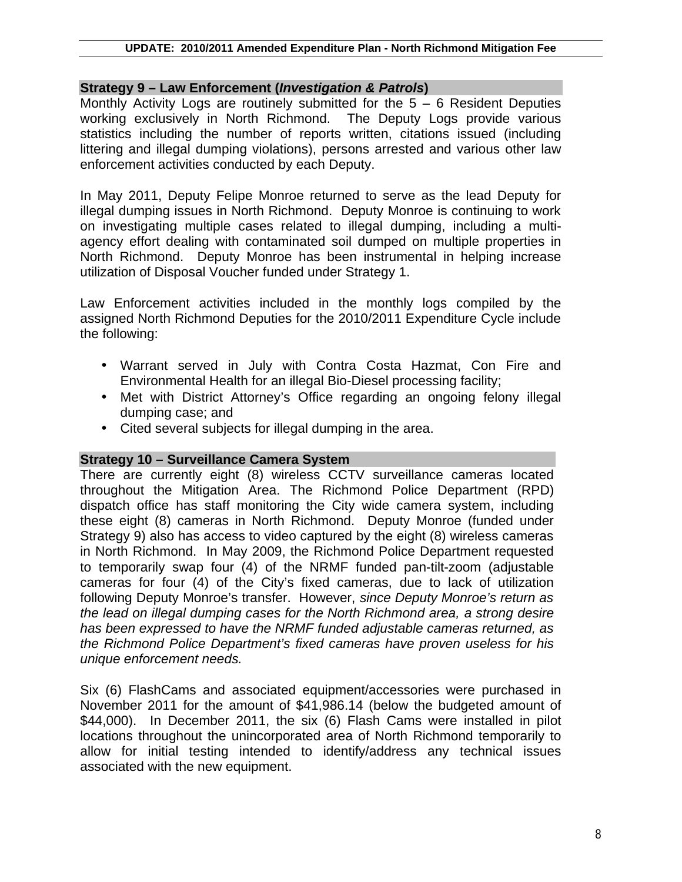#### **UPDATE: 2010/2011 Amended Expenditure Plan - North Richmond Mitigation Fee**

#### **Strategy 9 – Law Enforcement (***Investigation & Patrols***)**

Monthly Activity Logs are routinely submitted for the  $5 - 6$  Resident Deputies working exclusively in North Richmond. The Deputy Logs provide various statistics including the number of reports written, citations issued (including littering and illegal dumping violations), persons arrested and various other law enforcement activities conducted by each Deputy.

In May 2011, Deputy Felipe Monroe returned to serve as the lead Deputy for illegal dumping issues in North Richmond. Deputy Monroe is continuing to work on investigating multiple cases related to illegal dumping, including a multiagency effort dealing with contaminated soil dumped on multiple properties in North Richmond. Deputy Monroe has been instrumental in helping increase utilization of Disposal Voucher funded under Strategy 1.

Law Enforcement activities included in the monthly logs compiled by the assigned North Richmond Deputies for the 2010/2011 Expenditure Cycle include the following:

- Warrant served in July with Contra Costa Hazmat, Con Fire and Environmental Health for an illegal Bio-Diesel processing facility;
- Met with District Attorney's Office regarding an ongoing felony illegal dumping case; and
- Cited several subjects for illegal dumping in the area.

#### **Strategy 10 – Surveillance Camera System**

There are currently eight (8) wireless CCTV surveillance cameras located throughout the Mitigation Area. The Richmond Police Department (RPD) dispatch office has staff monitoring the City wide camera system, including these eight (8) cameras in North Richmond. Deputy Monroe (funded under Strategy 9) also has access to video captured by the eight (8) wireless cameras in North Richmond. In May 2009, the Richmond Police Department requested to temporarily swap four (4) of the NRMF funded pan-tilt-zoom (adjustable cameras for four (4) of the City's fixed cameras, due to lack of utilization following Deputy Monroe's transfer. However, *since Deputy Monroe's return as the lead on illegal dumping cases for the North Richmond area, a strong desire has been expressed to have the NRMF funded adjustable cameras returned, as the Richmond Police Department's fixed cameras have proven useless for his unique enforcement needs.* 

Six (6) FlashCams and associated equipment/accessories were purchased in November 2011 for the amount of \$41,986.14 (below the budgeted amount of \$44,000). In December 2011, the six (6) Flash Cams were installed in pilot locations throughout the unincorporated area of North Richmond temporarily to allow for initial testing intended to identify/address any technical issues associated with the new equipment.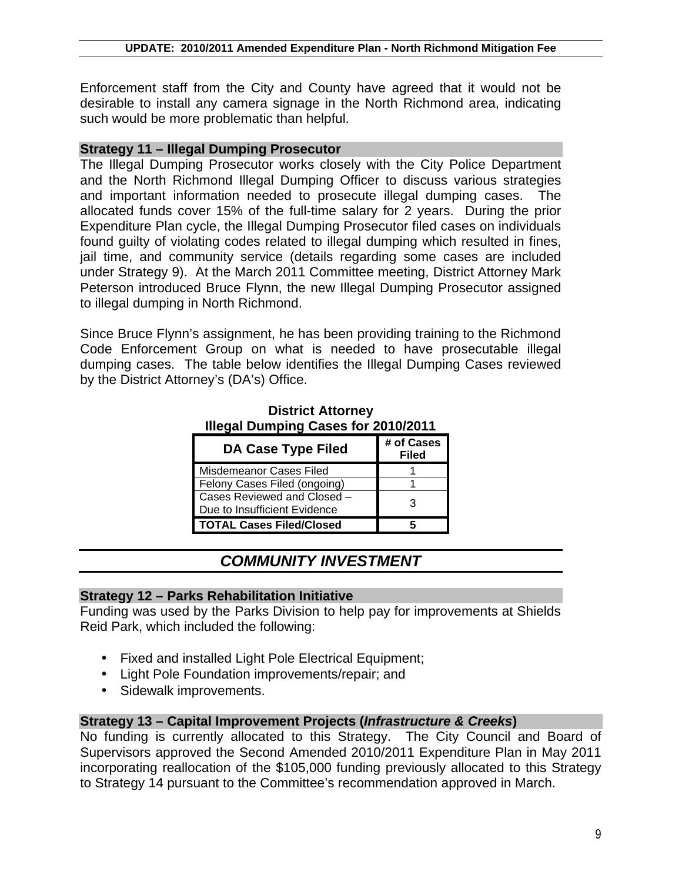Enforcement staff from the City and County have agreed that it would not be desirable to install any camera signage in the North Richmond area, indicating such would be more problematic than helpful.

#### **Strategy 11 – Illegal Dumping Prosecutor**

The Illegal Dumping Prosecutor works closely with the City Police Department and the North Richmond Illegal Dumping Officer to discuss various strategies and important information needed to prosecute illegal dumping cases. The allocated funds cover 15% of the full-time salary for 2 years. During the prior Expenditure Plan cycle, the Illegal Dumping Prosecutor filed cases on individuals found guilty of violating codes related to illegal dumping which resulted in fines, jail time, and community service (details regarding some cases are included under Strategy 9). At the March 2011 Committee meeting, District Attorney Mark Peterson introduced Bruce Flynn, the new Illegal Dumping Prosecutor assigned to illegal dumping in North Richmond.

Since Bruce Flynn's assignment, he has been providing training to the Richmond Code Enforcement Group on what is needed to have prosecutable illegal dumping cases. The table below identifies the Illegal Dumping Cases reviewed by the District Attorney's (DA's) Office.

| <b>Illegal Dumping Cases for 2010/2011</b> |                            |  |
|--------------------------------------------|----------------------------|--|
| <b>DA Case Type Filed</b>                  | # of Cases<br><b>Filed</b> |  |
| Misdemeanor Cases Filed                    |                            |  |
| Felony Cases Filed (ongoing)               |                            |  |
| Cases Reviewed and Closed -                | З                          |  |
| Due to Insufficient Evidence               |                            |  |
| <b>TOTAL Cases Filed/Closed</b>            |                            |  |

# **District Attorney Illegal Dumping Cases for 2010/2011**

# *COMMUNITY INVESTMENT*

#### **Strategy 12 – Parks Rehabilitation Initiative**

Funding was used by the Parks Division to help pay for improvements at Shields Reid Park, which included the following:

- Fixed and installed Light Pole Electrical Equipment;
- Light Pole Foundation improvements/repair; and
- Sidewalk improvements.

# **Strategy 13 – Capital Improvement Projects (***Infrastructure & Creeks***)**

No funding is currently allocated to this Strategy. The City Council and Board of Supervisors approved the Second Amended 2010/2011 Expenditure Plan in May 2011 incorporating reallocation of the \$105,000 funding previously allocated to this Strategy to Strategy 14 pursuant to the Committee's recommendation approved in March.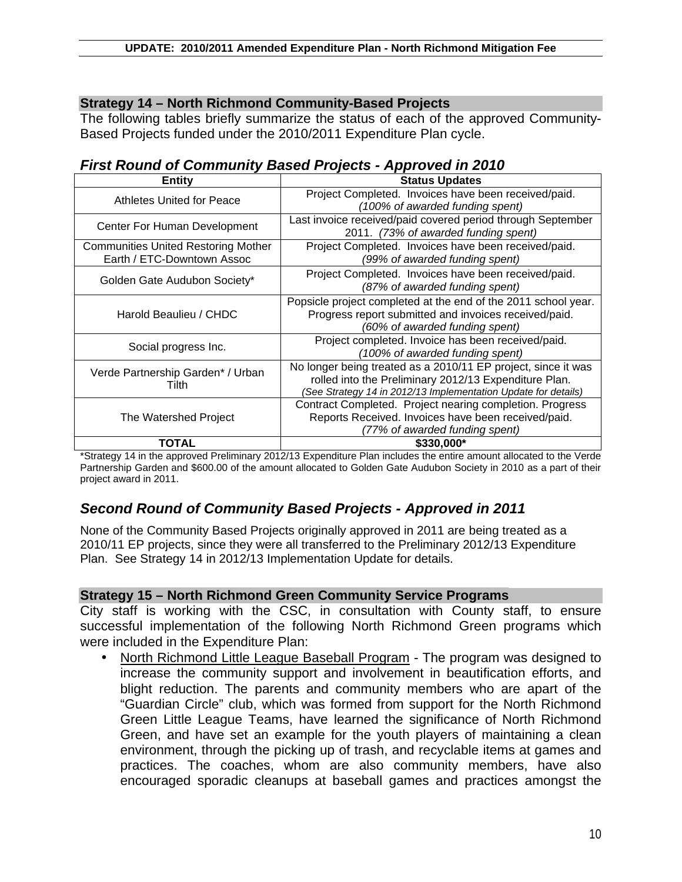# **Strategy 14 – North Richmond Community-Based Projects**

The following tables briefly summarize the status of each of the approved Community-Based Projects funded under the 2010/2011 Expenditure Plan cycle.

# *First Round of Community Based Projects - Approved in 2010*

| Entity                                     | <b>Status Updates</b>                                          |
|--------------------------------------------|----------------------------------------------------------------|
| Athletes United for Peace                  | Project Completed. Invoices have been received/paid.           |
|                                            | (100% of awarded funding spent)                                |
| Center For Human Development               | Last invoice received/paid covered period through September    |
|                                            | 2011. (73% of awarded funding spent)                           |
| <b>Communities United Restoring Mother</b> | Project Completed. Invoices have been received/paid.           |
| Earth / ETC-Downtown Assoc                 | (99% of awarded funding spent)                                 |
| Golden Gate Audubon Society*               | Project Completed. Invoices have been received/paid.           |
|                                            | (87% of awarded funding spent)                                 |
| Harold Beaulieu / CHDC                     | Popsicle project completed at the end of the 2011 school year. |
|                                            | Progress report submitted and invoices received/paid.          |
|                                            | (60% of awarded funding spent)                                 |
| Social progress Inc.                       | Project completed. Invoice has been received/paid.             |
|                                            | (100% of awarded funding spent)                                |
| Verde Partnership Garden* / Urban<br>Tilth | No longer being treated as a 2010/11 EP project, since it was  |
|                                            | rolled into the Preliminary 2012/13 Expenditure Plan.          |
|                                            | (See Strategy 14 in 2012/13 Implementation Update for details) |
| The Watershed Project                      | Contract Completed. Project nearing completion. Progress       |
|                                            | Reports Received. Invoices have been received/paid.            |
|                                            | (77% of awarded funding spent)                                 |
| TOTAL                                      | \$330,000*                                                     |

\*Strategy 14 in the approved Preliminary 2012/13 Expenditure Plan includes the entire amount allocated to the Verde Partnership Garden and \$600.00 of the amount allocated to Golden Gate Audubon Society in 2010 as a part of their project award in 2011.

# *Second Round of Community Based Projects - Approved in 2011*

None of the Community Based Projects originally approved in 2011 are being treated as a 2010/11 EP projects, since they were all transferred to the Preliminary 2012/13 Expenditure Plan. See Strategy 14 in 2012/13 Implementation Update for details.

#### **Strategy 15 – North Richmond Green Community Service Programs**

City staff is working with the CSC, in consultation with County staff, to ensure successful implementation of the following North Richmond Green programs which were included in the Expenditure Plan:

• North Richmond Little League Baseball Program - The program was designed to increase the community support and involvement in beautification efforts, and blight reduction. The parents and community members who are apart of the "Guardian Circle" club, which was formed from support for the North Richmond Green Little League Teams, have learned the significance of North Richmond Green, and have set an example for the youth players of maintaining a clean environment, through the picking up of trash, and recyclable items at games and practices. The coaches, whom are also community members, have also encouraged sporadic cleanups at baseball games and practices amongst the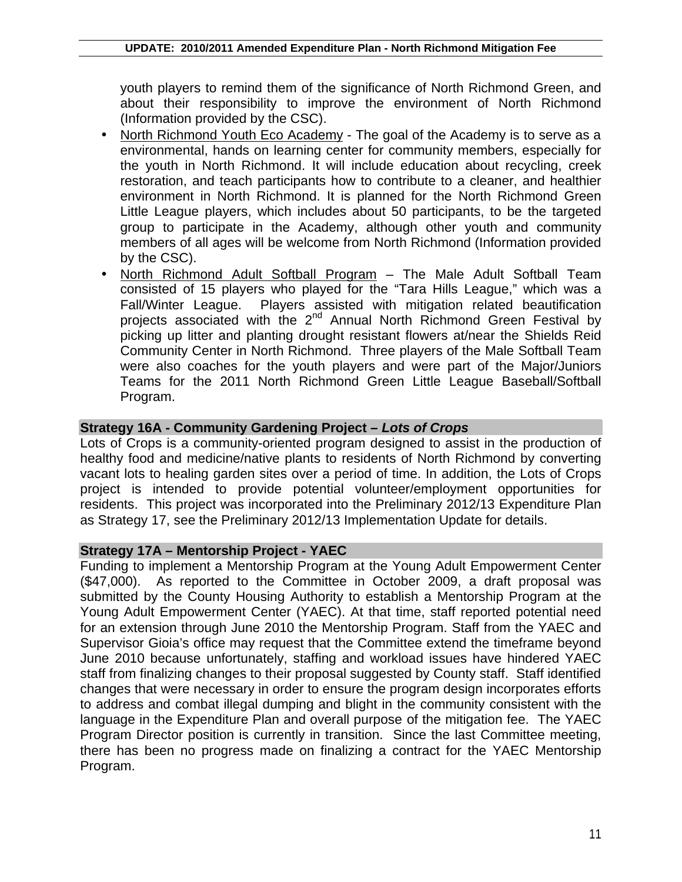youth players to remind them of the significance of North Richmond Green, and about their responsibility to improve the environment of North Richmond (Information provided by the CSC).

- North Richmond Youth Eco Academy The goal of the Academy is to serve as a environmental, hands on learning center for community members, especially for the youth in North Richmond. It will include education about recycling, creek restoration, and teach participants how to contribute to a cleaner, and healthier environment in North Richmond. It is planned for the North Richmond Green Little League players, which includes about 50 participants, to be the targeted group to participate in the Academy, although other youth and community members of all ages will be welcome from North Richmond (Information provided by the CSC).
- North Richmond Adult Softball Program The Male Adult Softball Team consisted of 15 players who played for the "Tara Hills League," which was a Fall/Winter League. Players assisted with mitigation related beautification projects associated with the 2<sup>nd</sup> Annual North Richmond Green Festival by picking up litter and planting drought resistant flowers at/near the Shields Reid Community Center in North Richmond. Three players of the Male Softball Team were also coaches for the youth players and were part of the Major/Juniors Teams for the 2011 North Richmond Green Little League Baseball/Softball Program.

# **Strategy 16A - Community Gardening Project –** *Lots of Crops*

Lots of Crops is a community-oriented program designed to assist in the production of healthy food and medicine/native plants to residents of North Richmond by converting vacant lots to healing garden sites over a period of time. In addition, the Lots of Crops project is intended to provide potential volunteer/employment opportunities for residents. This project was incorporated into the Preliminary 2012/13 Expenditure Plan as Strategy 17, see the Preliminary 2012/13 Implementation Update for details.

#### **Strategy 17A – Mentorship Project - YAEC**

Funding to implement a Mentorship Program at the Young Adult Empowerment Center (\$47,000). As reported to the Committee in October 2009, a draft proposal was submitted by the County Housing Authority to establish a Mentorship Program at the Young Adult Empowerment Center (YAEC). At that time, staff reported potential need for an extension through June 2010 the Mentorship Program. Staff from the YAEC and Supervisor Gioia's office may request that the Committee extend the timeframe beyond June 2010 because unfortunately, staffing and workload issues have hindered YAEC staff from finalizing changes to their proposal suggested by County staff. Staff identified changes that were necessary in order to ensure the program design incorporates efforts to address and combat illegal dumping and blight in the community consistent with the language in the Expenditure Plan and overall purpose of the mitigation fee. The YAEC Program Director position is currently in transition. Since the last Committee meeting, there has been no progress made on finalizing a contract for the YAEC Mentorship Program.